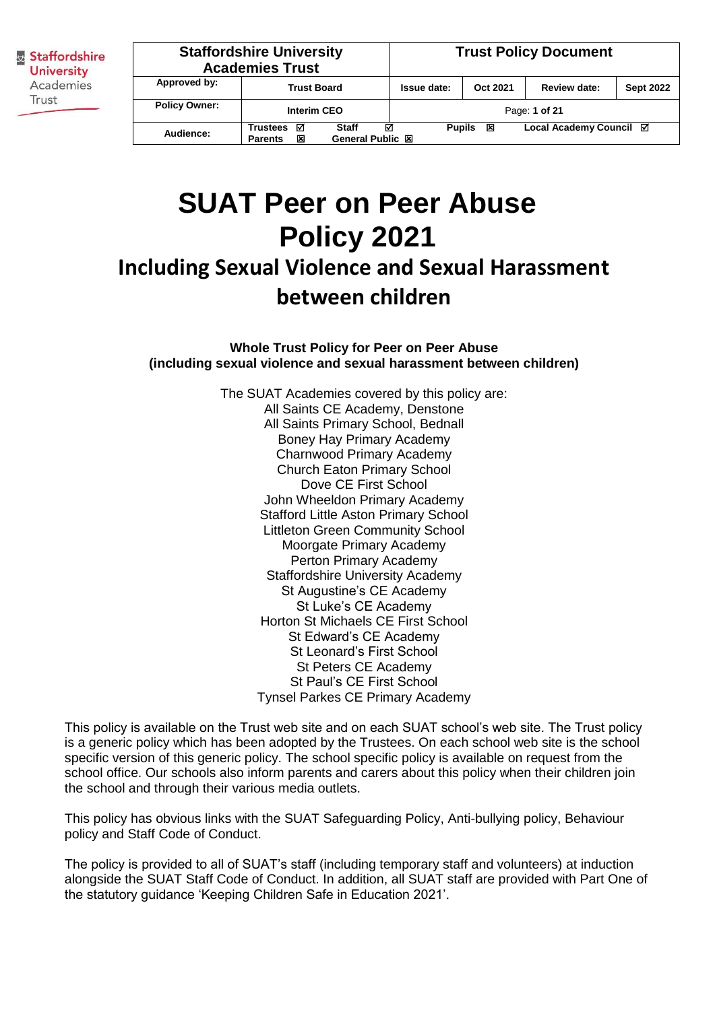|                      | <b>Staffordshire University</b><br><b>Academies Trust</b>                            |  |             | <b>Trust Policy Document</b> |                         |                  |  |
|----------------------|--------------------------------------------------------------------------------------|--|-------------|------------------------------|-------------------------|------------------|--|
| Approved by:         | <b>Trust Board</b>                                                                   |  | Issue date: | Oct 2021                     | <b>Review date:</b>     | <b>Sept 2022</b> |  |
| <b>Policy Owner:</b> | <b>Interim CEO</b>                                                                   |  |             |                              | Page: 1 of 21           |                  |  |
| Audience:            | ☑<br>ल<br><b>Staff</b><br><b>Trustees</b><br>General Public 図<br>図<br><b>Parents</b> |  |             | 図<br><b>Pupils</b>           | Local Academy Council ⊠ |                  |  |

# **SUAT Peer on Peer Abuse Policy 2021**

# **Including Sexual Violence and Sexual Harassment between children**

**Whole Trust Policy for Peer on Peer Abuse (including sexual violence and sexual harassment between children)**

> The SUAT Academies covered by this policy are: All Saints CE Academy, Denstone All Saints Primary School, Bednall Boney Hay Primary Academy Charnwood Primary Academy Church Eaton Primary School Dove CE First School John Wheeldon Primary Academy Stafford Little Aston Primary School Littleton Green Community School Moorgate Primary Academy Perton Primary Academy Staffordshire University Academy St Augustine's CE Academy St Luke's CE Academy Horton St Michaels CE First School St Edward's CE Academy St Leonard's First School St Peters CE Academy St Paul's CE First School Tynsel Parkes CE Primary Academy

This policy is available on the Trust web site and on each SUAT school's web site. The Trust policy is a generic policy which has been adopted by the Trustees. On each school web site is the school specific version of this generic policy. The school specific policy is available on request from the school office. Our schools also inform parents and carers about this policy when their children join the school and through their various media outlets.

This policy has obvious links with the SUAT Safeguarding Policy, Anti-bullying policy, Behaviour policy and Staff Code of Conduct.

The policy is provided to all of SUAT's staff (including temporary staff and volunteers) at induction alongside the SUAT Staff Code of Conduct. In addition, all SUAT staff are provided with Part One of the statutory guidance 'Keeping Children Safe in Education 2021'.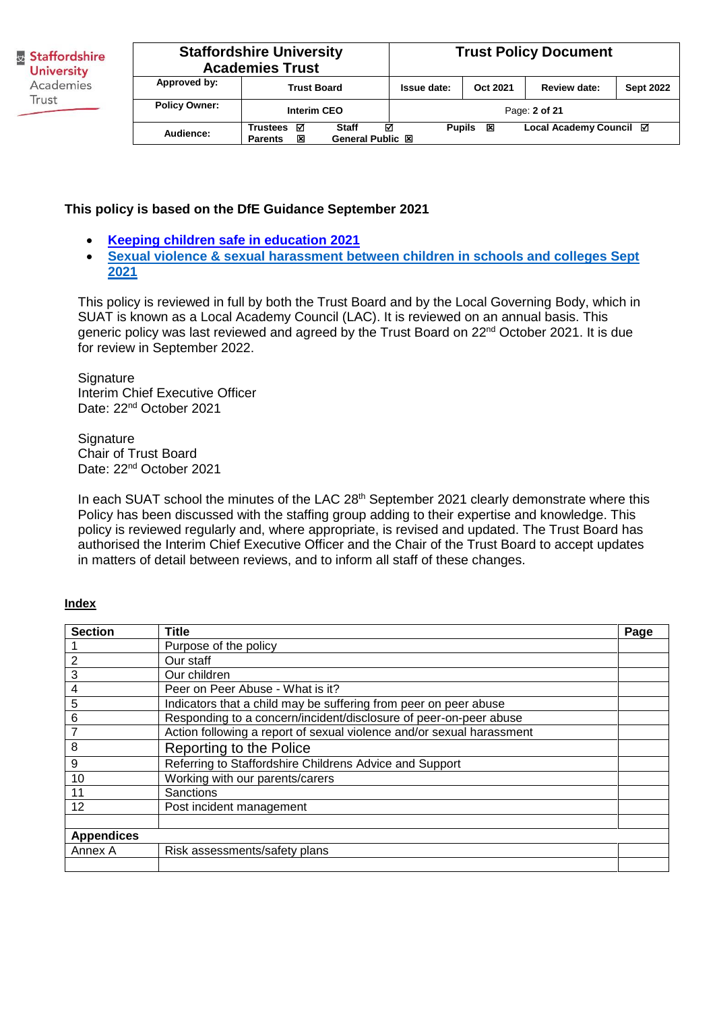| <b>Staffordshire University</b><br><b>Academies Trust</b>                                                |                    |  | <b>Trust Policy Document</b> |          |                         |                  |
|----------------------------------------------------------------------------------------------------------|--------------------|--|------------------------------|----------|-------------------------|------------------|
| Approved by:                                                                                             | <b>Trust Board</b> |  | Issue date:                  | Oct 2021 | Review date:            | <b>Sept 2022</b> |
| <b>Policy Owner:</b>                                                                                     | Interim CEO        |  |                              |          | Page: 2 of 21           |                  |
| ☑<br>☑<br><b>Trustees</b><br><b>Staff</b><br>Audience:<br>図<br><b>General Public 図</b><br><b>Parents</b> |                    |  | <b>Pupils</b>                | 区        | Local Academy Council ⊠ |                  |

#### **This policy is based on the DfE Guidance September 2021**

- **[Keeping children safe in education 2021](https://assets.publishing.service.gov.uk/government/uploads/system/uploads/attachment_data/file/1007260/Keeping_children_safe_in_education_2021.pdf)**
- **[Sexual violence & sexual harassment between children in schools and colleges Sept](https://assets.publishing.service.gov.uk/government/uploads/system/uploads/attachment_data/file/999239/SVSH_2021.pdf)  [2021](https://assets.publishing.service.gov.uk/government/uploads/system/uploads/attachment_data/file/999239/SVSH_2021.pdf)**

This policy is reviewed in full by both the Trust Board and by the Local Governing Body, which in SUAT is known as a Local Academy Council (LAC). It is reviewed on an annual basis. This generic policy was last reviewed and agreed by the Trust Board on 22<sup>nd</sup> October 2021. It is due for review in September 2022.

**Signature** Interim Chief Executive Officer Date: 22<sup>nd</sup> October 2021

**Signature** Chair of Trust Board Date: 22<sup>nd</sup> October 2021

In each SUAT school the minutes of the LAC 28<sup>th</sup> September 2021 clearly demonstrate where this Policy has been discussed with the staffing group adding to their expertise and knowledge. This policy is reviewed regularly and, where appropriate, is revised and updated. The Trust Board has authorised the Interim Chief Executive Officer and the Chair of the Trust Board to accept updates in matters of detail between reviews, and to inform all staff of these changes.

#### **Index**

| <b>Section</b>    | <b>Title</b>                                                          | Page |
|-------------------|-----------------------------------------------------------------------|------|
|                   | Purpose of the policy                                                 |      |
|                   | Our staff                                                             |      |
| 3                 | Our children                                                          |      |
| 4                 | Peer on Peer Abuse - What is it?                                      |      |
| 5                 | Indicators that a child may be suffering from peer on peer abuse      |      |
| 6                 | Responding to a concern/incident/disclosure of peer-on-peer abuse     |      |
| 7                 | Action following a report of sexual violence and/or sexual harassment |      |
| 8                 | Reporting to the Police                                               |      |
| 9                 | Referring to Staffordshire Childrens Advice and Support               |      |
| 10                | Working with our parents/carers                                       |      |
| 11                | <b>Sanctions</b>                                                      |      |
| 12                | Post incident management                                              |      |
|                   |                                                                       |      |
| <b>Appendices</b> |                                                                       |      |
| Annex A           | Risk assessments/safety plans                                         |      |
|                   |                                                                       |      |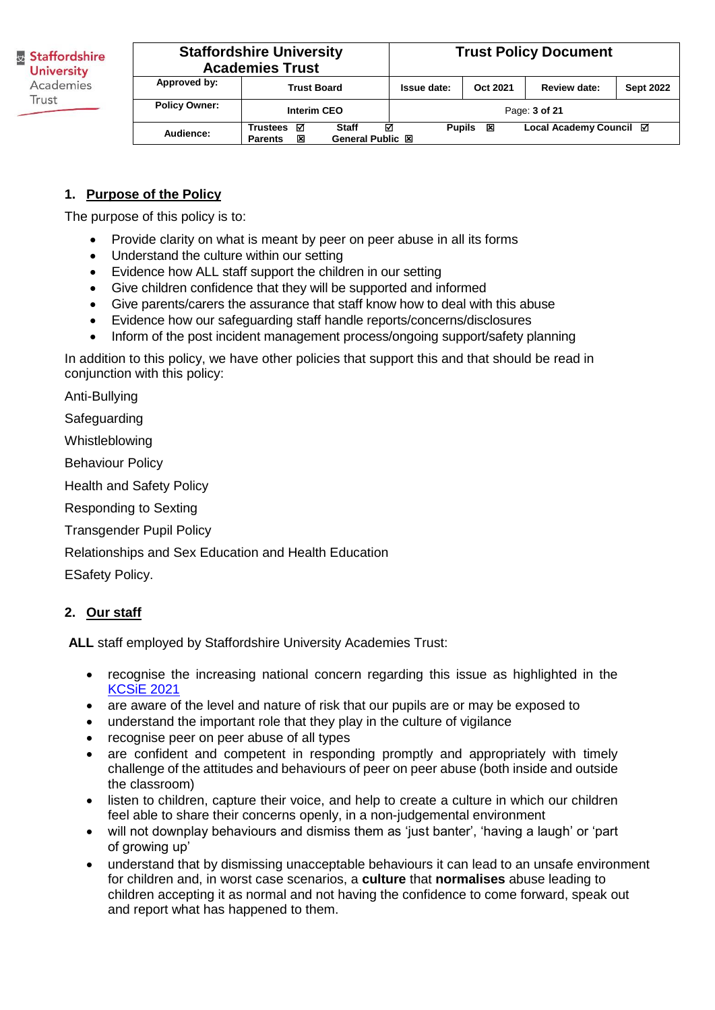| <b>Staffordshire University</b><br><b>Academies Trust</b> |                                                                                             |             | <b>Trust Policy Document</b> |                         |                  |
|-----------------------------------------------------------|---------------------------------------------------------------------------------------------|-------------|------------------------------|-------------------------|------------------|
| Approved by:                                              | <b>Trust Board</b>                                                                          | Issue date: | Oct 2021                     | <b>Review date:</b>     | <b>Sept 2022</b> |
| <b>Policy Owner:</b>                                      | Interim CEO                                                                                 |             |                              | Page: 3 of 21           |                  |
| Audience:                                                 | ☑<br>ल<br><b>Staff</b><br><b>Trustees</b><br><b>General Public 図</b><br>区<br><b>Parents</b> |             | <b>Pupils</b><br>区           | Local Academy Council ⊠ |                  |

# **1. Purpose of the Policy**

The purpose of this policy is to:

- Provide clarity on what is meant by peer on peer abuse in all its forms
- Understand the culture within our setting
- Evidence how ALL staff support the children in our setting
- Give children confidence that they will be supported and informed
- Give parents/carers the assurance that staff know how to deal with this abuse
- Evidence how our safeguarding staff handle reports/concerns/disclosures
- Inform of the post incident management process/ongoing support/safety planning

In addition to this policy, we have other policies that support this and that should be read in conjunction with this policy:

Anti-Bullying

**Safeguarding** 

Whistleblowing

Behaviour Policy

Health and Safety Policy

Responding to Sexting

Transgender Pupil Policy

Relationships and Sex Education and Health Education

ESafety Policy.

# **2. Our staff**

**ALL** staff employed by Staffordshire University Academies Trust:

- recognise the increasing national concern regarding this issue as highlighted in the [KCSiE 2021](https://assets.publishing.service.gov.uk/government/uploads/system/uploads/attachment_data/file/1021914/KCSIE_2021_September_guidance.pdf)
- are aware of the level and nature of risk that our pupils are or may be exposed to
- understand the important role that they play in the culture of vigilance
- recognise peer on peer abuse of all types
- are confident and competent in responding promptly and appropriately with timely challenge of the attitudes and behaviours of peer on peer abuse (both inside and outside the classroom)
- listen to children, capture their voice, and help to create a culture in which our children feel able to share their concerns openly, in a non-judgemental environment
- will not downplay behaviours and dismiss them as 'just banter', 'having a laugh' or 'part of growing up'
- understand that by dismissing unacceptable behaviours it can lead to an unsafe environment for children and, in worst case scenarios, a **culture** that **normalises** abuse leading to children accepting it as normal and not having the confidence to come forward, speak out and report what has happened to them.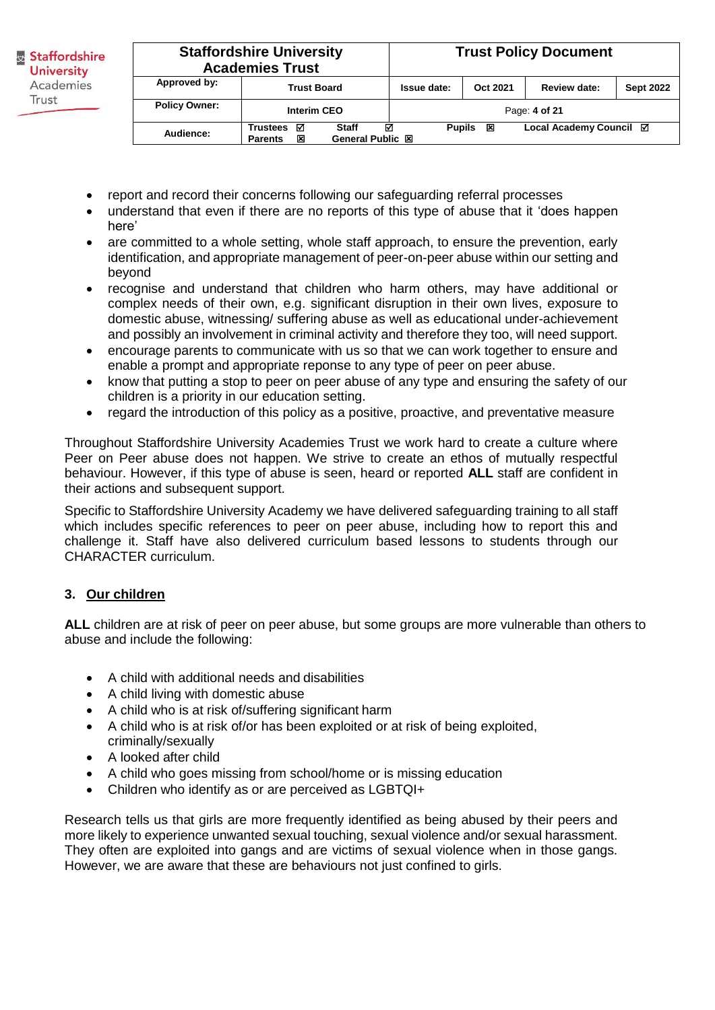|                      | <b>Staffordshire University</b><br><b>Academies Trust</b>                            |  |               |          | <b>Trust Policy Document</b> |                  |
|----------------------|--------------------------------------------------------------------------------------|--|---------------|----------|------------------------------|------------------|
| Approved by:         | <b>Trust Board</b>                                                                   |  | Issue date:   | Oct 2021 | <b>Review date:</b>          | <b>Sept 2022</b> |
| <b>Policy Owner:</b> | <b>Interim CEO</b>                                                                   |  |               |          | Page: 4 of 21                |                  |
| Audience:            | ☑<br>☑<br><b>Trustees</b><br><b>Staff</b><br>General Public 図<br>冈<br><b>Parents</b> |  | <b>Pupils</b> | 区        | Local Academy Council ⊠      |                  |

- report and record their concerns following our safeguarding referral processes
- understand that even if there are no reports of this type of abuse that it 'does happen here'
- are committed to a whole setting, whole staff approach, to ensure the prevention, early identification, and appropriate management of peer-on-peer abuse within our setting and beyond
- recognise and understand that children who harm others, may have additional or complex needs of their own, e.g. significant disruption in their own lives, exposure to domestic abuse, witnessing/ suffering abuse as well as educational under-achievement and possibly an involvement in criminal activity and therefore they too, will need support.
- encourage parents to communicate with us so that we can work together to ensure and enable a prompt and appropriate reponse to any type of peer on peer abuse.
- know that putting a stop to peer on peer abuse of any type and ensuring the safety of our children is a priority in our education setting.
- regard the introduction of this policy as a positive, proactive, and preventative measure

Throughout Staffordshire University Academies Trust we work hard to create a culture where Peer on Peer abuse does not happen. We strive to create an ethos of mutually respectful behaviour. However, if this type of abuse is seen, heard or reported **ALL** staff are confident in their actions and subsequent support.

Specific to Staffordshire University Academy we have delivered safeguarding training to all staff which includes specific references to peer on peer abuse, including how to report this and challenge it. Staff have also delivered curriculum based lessons to students through our CHARACTER curriculum.

#### **3. Our children**

**ALL** children are at risk of peer on peer abuse, but some groups are more vulnerable than others to abuse and include the following:

- A child with additional needs and disabilities
- A child living with domestic abuse
- A child who is at risk of/suffering significant harm
- A child who is at risk of/or has been exploited or at risk of being exploited, criminally/sexually
- A looked after child
- A child who goes missing from school/home or is missing education
- Children who identify as or are perceived as LGBTQI+

Research tells us that girls are more frequently identified as being abused by their peers and more likely to experience unwanted sexual touching, sexual violence and/or sexual harassment. They often are exploited into gangs and are victims of sexual violence when in those gangs. However, we are aware that these are behaviours not just confined to girls.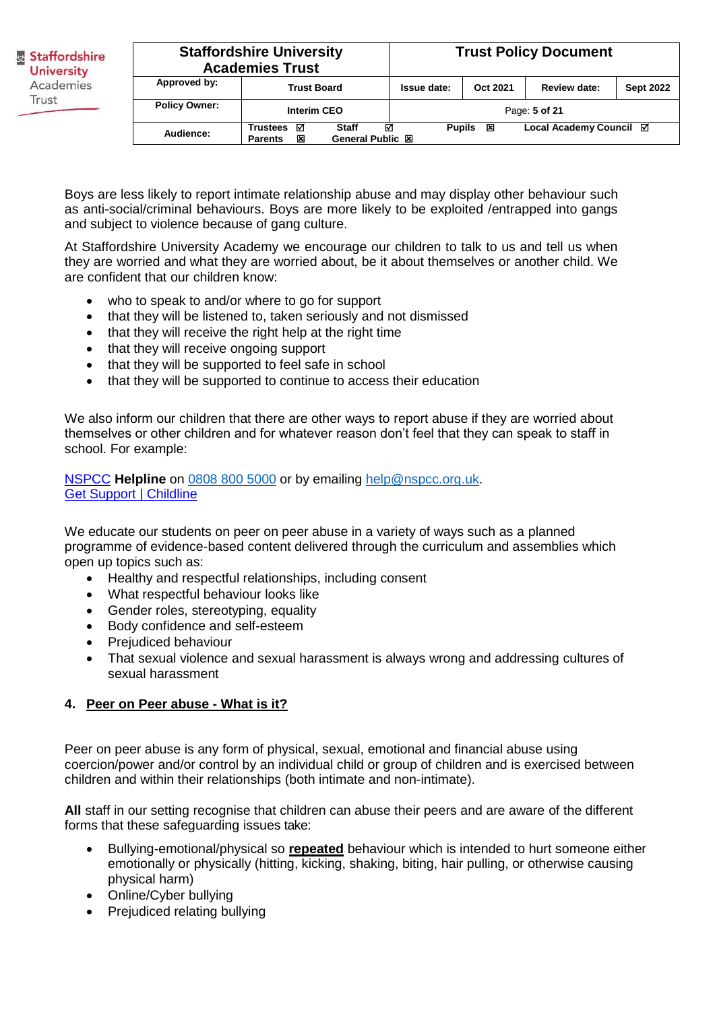|                      | <b>Staffordshire University</b><br><b>Academies Trust</b>                                   |  |               | <b>Trust Policy Document</b> |                         |                  |
|----------------------|---------------------------------------------------------------------------------------------|--|---------------|------------------------------|-------------------------|------------------|
| Approved by:         | <b>Trust Board</b>                                                                          |  | Issue date:   | Oct 2021                     | Review date:            | <b>Sept 2022</b> |
| <b>Policy Owner:</b> | Interim CEO                                                                                 |  |               |                              | Page: 5 of 21           |                  |
| Audience:            | ☑<br>☑<br><b>Staff</b><br><b>Trustees</b><br>又<br><b>General Public 図</b><br><b>Parents</b> |  | <b>Pupils</b> | 区                            | Local Academy Council ⊠ |                  |

Boys are less likely to report intimate relationship abuse and may display other behaviour such as anti-social/criminal behaviours. Boys are more likely to be exploited /entrapped into gangs and subject to violence because of gang culture.

At Staffordshire University Academy we encourage our children to talk to us and tell us when they are worried and what they are worried about, be it about themselves or another child. We are confident that our children know:

- who to speak to and/or where to go for support
- that they will be listened to, taken seriously and not dismissed
- that they will receive the right help at the right time
- that they will receive ongoing support
- that they will be supported to feel safe in school
- that they will be supported to continue to access their education

We also inform our children that there are other ways to report abuse if they are worried about themselves or other children and for whatever reason don't feel that they can speak to staff in school. For example:

[NSPCC](https://www.nspcc.org.uk/keeping-children-safe/reporting-abuse/) **Helpline** on [0808 800 5000](tel:08088005000) or by emailing [help@nspcc.org.uk.](mailto:help@nspcc.org.uk) [Get Support](https://www.childline.org.uk/get-support/) | Childline

We educate our students on peer on peer abuse in a variety of ways such as a planned programme of evidence-based content delivered through the curriculum and assemblies which open up topics such as:

- Healthy and respectful relationships, including consent
- What respectful behaviour looks like
- Gender roles, stereotyping, equality
- Body confidence and self-esteem
- Prejudiced behaviour
- That sexual violence and sexual harassment is always wrong and addressing cultures of sexual harassment

#### **4. Peer on Peer abuse - What is it?**

Peer on peer abuse is any form of physical, sexual, emotional and financial abuse using coercion/power and/or control by an individual child or group of children and is exercised between children and within their relationships (both intimate and non-intimate).

**All** staff in our setting recognise that children can abuse their peers and are aware of the different forms that these safeguarding issues take:

- Bullying-emotional/physical so **repeated** behaviour which is intended to hurt someone either emotionally or physically (hitting, kicking, shaking, biting, hair pulling, or otherwise causing physical harm)
- Online/Cyber bullying
- Prejudiced relating bullying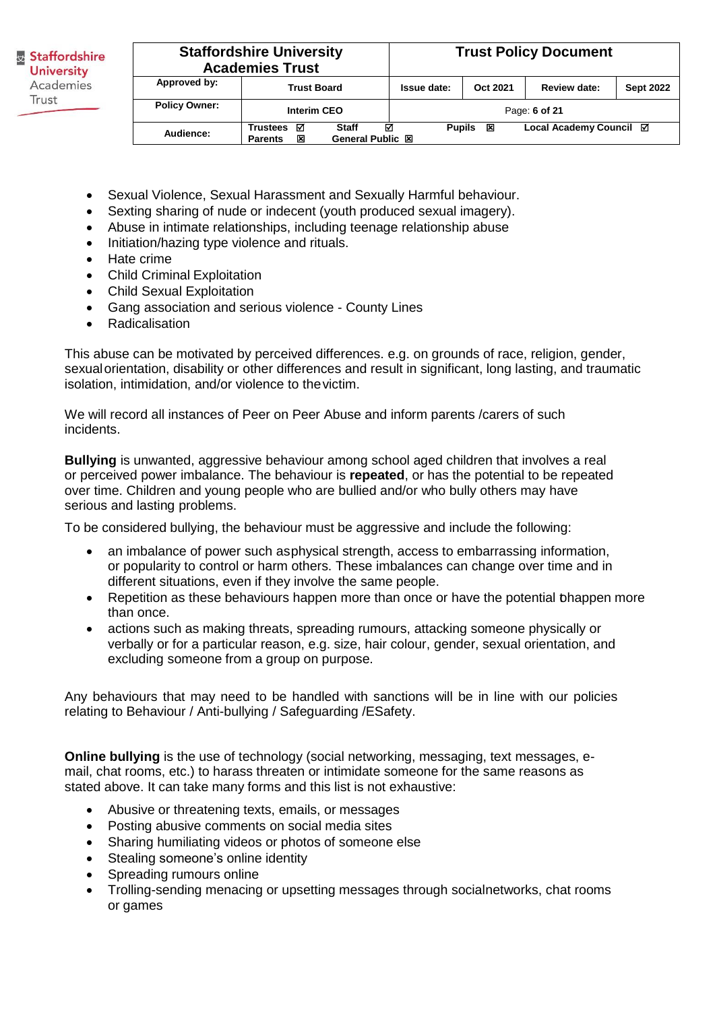| <b>Staffordshire University</b><br><b>Academies Trust</b> |                                                                                        |                    | <b>Trust Policy Document</b> |                         |                  |
|-----------------------------------------------------------|----------------------------------------------------------------------------------------|--------------------|------------------------------|-------------------------|------------------|
| Approved by:                                              | <b>Trust Board</b>                                                                     | Issue date:        | Oct 2021                     | <b>Review date:</b>     | <b>Sept 2022</b> |
| <b>Policy Owner:</b>                                      | Interim CEO                                                                            |                    |                              | Page: 6 of 21           |                  |
| Audience:                                                 | ☑<br><b>Staff</b><br><b>Trustees</b><br><b>General Public 図</b><br>区<br><b>Parents</b> | ☑<br><b>Pupils</b> | 区                            | Local Academy Council ⊠ |                  |

- Sexual Violence, Sexual Harassment and Sexually Harmful behaviour.
- Sexting sharing of nude or indecent (youth produced sexual imagery).
- Abuse in intimate relationships, including teenage relationship abuse
- Initiation/hazing type violence and rituals.
- Hate crime
- Child Criminal Exploitation
- Child Sexual Exploitation
- Gang association and serious violence County Lines
- Radicalisation

This abuse can be motivated by perceived differences. e.g. on grounds of race, religion, gender, sexual orientation, disability or other differences and result in significant, long lasting, and traumatic isolation, intimidation, and/or violence to the victim.

We will record all instances of Peer on Peer Abuse and inform parents /carers of such incidents.

**Bullying** is unwanted, aggressive behaviour among school aged children that involves a real or perceived power imbalance. The behaviour is **repeated**, or has the potential to be repeated over time. Children and young people who are bullied and/or who bully others may have serious and lasting problems.

To be considered bullying, the behaviour must be aggressive and include the following:

- an imbalance of power such as physical strength, access to embarrassing information, or popularity to control or harm others. These imbalances can change over time and in different situations, even if they involve the same people.
- Repetition as these behaviours happen more than once or have the potential bhappen more than once.
- actions such as making threats, spreading rumours, attacking someone physically or verbally or for a particular reason, e.g. size, hair colour, gender, sexual orientation, and excluding someone from a group on purpose.

Any behaviours that may need to be handled with sanctions will be in line with our policies relating to Behaviour / Anti-bullying / Safeguarding /ESafety.

**Online bullying** is the use of technology (social networking, messaging, text messages, email, chat rooms, etc.) to harass threaten or intimidate someone for the same reasons as stated above. It can take many forms and this list is not exhaustive:

- Abusive or threatening texts, emails, or messages
- Posting abusive comments on social media sites
- Sharing humiliating videos or photos of someone else
- Stealing someone's online identity
- Spreading rumours online
- Trolling-sending menacing or upsetting messages through socialnetworks, chat rooms or games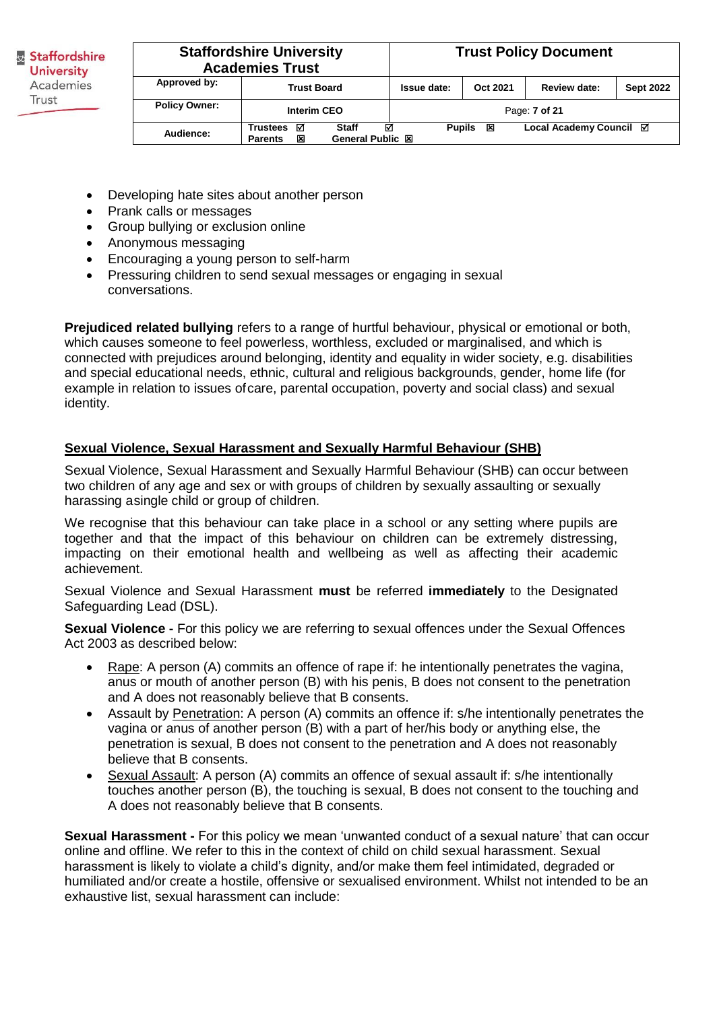Staffordshire **University** Academies Trust **Policy Owner:**

|                                                                                               | <b>Staffordshire University</b><br><b>Academies Trust</b> |                    |          | <b>Trust Policy Document</b> |                  |  |  |
|-----------------------------------------------------------------------------------------------|-----------------------------------------------------------|--------------------|----------|------------------------------|------------------|--|--|
| Approved by:                                                                                  | <b>Trust Board</b>                                        | Issue date:        | Oct 2021 | <b>Review date:</b>          | <b>Sept 2022</b> |  |  |
| <b>Policy Owner:</b>                                                                          | Interim CEO                                               |                    |          | Page: 7 of 21                |                  |  |  |
| ⊠<br><b>Staff</b><br><b>Trustees</b><br>Audience:<br>General Public XI<br>図<br><b>Parents</b> |                                                           | <b>Pupils</b><br>☑ | 区        | Local Academy Council ⊠      |                  |  |  |

- Developing hate sites about another person
- Prank calls or messages
- Group bullying or exclusion online
- Anonymous messaging
- Encouraging a young person to self-harm
- Pressuring children to send sexual messages or engaging in sexual conversations.

**Prejudiced related bullying** refers to a range of hurtful behaviour, physical or emotional or both, which causes someone to feel powerless, worthless, excluded or marginalised, and which is connected with prejudices around belonging, identity and equality in wider society, e.g. disabilities and special educational needs, ethnic, cultural and religious backgrounds, gender, home life (for example in relation to issues of care, parental occupation, poverty and social class) and sexual identity.

#### **Sexual Violence, Sexual Harassment and Sexually Harmful Behaviour (SHB)**

Sexual Violence, Sexual Harassment and Sexually Harmful Behaviour (SHB) can occur between two children of any age and sex or with groups of children by sexually assaulting or sexually harassing a single child or group of children.

We recognise that this behaviour can take place in a school or any setting where pupils are together and that the impact of this behaviour on children can be extremely distressing, impacting on their emotional health and wellbeing as well as affecting their academic achievement.

Sexual Violence and Sexual Harassment **must** be referred **immediately** to the Designated Safeguarding Lead (DSL).

**Sexual Violence -** For this policy we are referring to sexual offences under the Sexual Offences Act 2003 as described below:

- Rape: A person (A) commits an offence of rape if: he intentionally penetrates the vagina, anus or mouth of another person (B) with his penis, B does not consent to the penetration and A does not reasonably believe that B consents.
- Assault by Penetration: A person (A) commits an offence if: s/he intentionally penetrates the vagina or anus of another person (B) with a part of her/his body or anything else, the penetration is sexual, B does not consent to the penetration and A does not reasonably believe that B consents.
- Sexual Assault: A person (A) commits an offence of sexual assault if: s/he intentionally touches another person (B), the touching is sexual, B does not consent to the touching and A does not reasonably believe that B consents.

**Sexual Harassment -** For this policy we mean 'unwanted conduct of a sexual nature' that can occur online and offline. We refer to this in the context of child on child sexual harassment. Sexual harassment is likely to violate a child's dignity, and/or make them feel intimidated, degraded or humiliated and/or create a hostile, offensive or sexualised environment. Whilst not intended to be an exhaustive list, sexual harassment can include: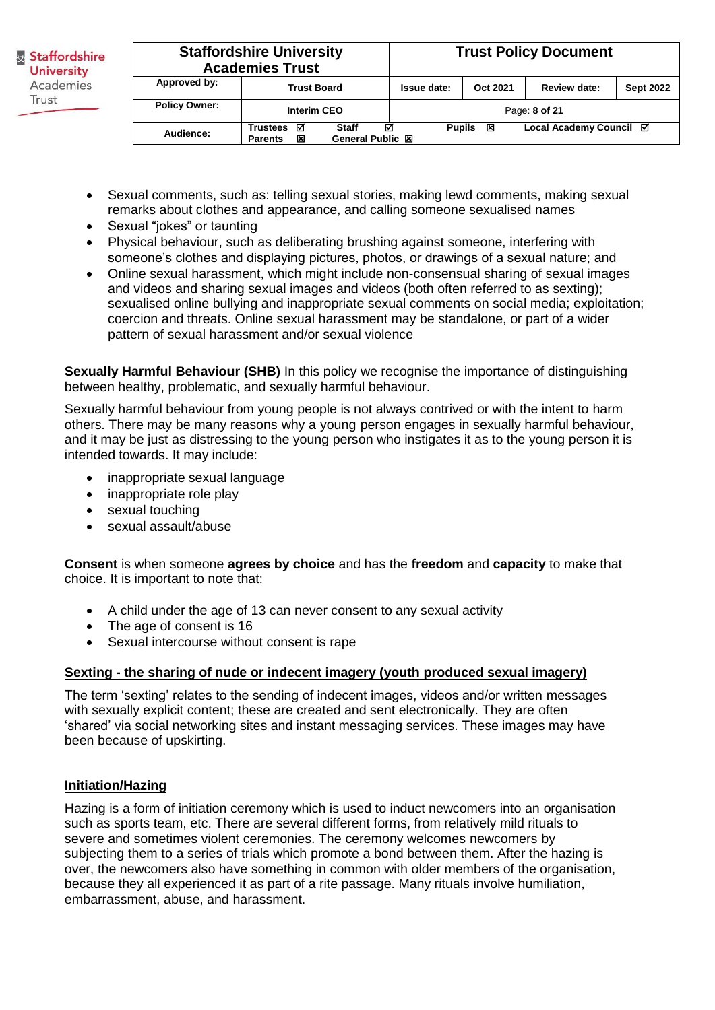|                      | <b>Staffordshire University</b><br><b>Academies Trust</b>                             |  |               |          | <b>Trust Policy Document</b> |                  |
|----------------------|---------------------------------------------------------------------------------------|--|---------------|----------|------------------------------|------------------|
| Approved by:         | <b>Trust Board</b>                                                                    |  | Issue date:   | Oct 2021 | <b>Review date:</b>          | <b>Sept 2022</b> |
| <b>Policy Owner:</b> | <b>Interim CEO</b>                                                                    |  |               |          | Page: 8 of 21                |                  |
| Audience:            | ⊠<br>☑<br><b>Trustees</b><br><b>Staff</b><br>General Public XI<br>又<br><b>Parents</b> |  | <b>Pupils</b> | ×        | Local Academy Council ⊠      |                  |

- Sexual comments, such as: telling sexual stories, making lewd comments, making sexual remarks about clothes and appearance, and calling someone sexualised names
- Sexual "jokes" or taunting
- Physical behaviour, such as deliberating brushing against someone, interfering with someone's clothes and displaying pictures, photos, or drawings of a sexual nature; and
- Online sexual harassment, which might include non-consensual sharing of sexual images and videos and sharing sexual images and videos (both often referred to as sexting); sexualised online bullying and inappropriate sexual comments on social media; exploitation; coercion and threats. Online sexual harassment may be standalone, or part of a wider pattern of sexual harassment and/or sexual violence

**Sexually Harmful Behaviour (SHB)** In this policy we recognise the importance of distinguishing between healthy, problematic, and sexually harmful behaviour.

Sexually harmful behaviour from young people is not always contrived or with the intent to harm others. There may be many reasons why a young person engages in sexually harmful behaviour, and it may be just as distressing to the young person who instigates it as to the young person it is intended towards. It may include:

- inappropriate sexual language
- inappropriate role play
- sexual touching
- sexual assault/abuse

**Consent** is when someone **agrees by choice** and has the **freedom** and **capacity** to make that choice. It is important to note that:

- A child under the age of 13 can never consent to any sexual activity
- The age of consent is 16
- Sexual intercourse without consent is rape

#### **Sexting - the sharing of nude or indecent imagery (youth produced sexual imagery)**

The term 'sexting' relates to the sending of indecent images, videos and/or written messages with sexually explicit content; these are created and sent electronically. They are often 'shared' via social networking sites and instant messaging services. These images may have been because of upskirting.

# **Initiation/Hazing**

Hazing is a form of initiation ceremony which is used to induct newcomers into an organisation such as sports team, etc. There are several different forms, from relatively mild rituals to severe and sometimes violent ceremonies. The ceremony welcomes newcomers by subjecting them to a series of trials which promote a bond between them. After the hazing is over, the newcomers also have something in common with older members of the organisation, because they all experienced it as part of a rite passage. Many rituals involve humiliation, embarrassment, abuse, and harassment.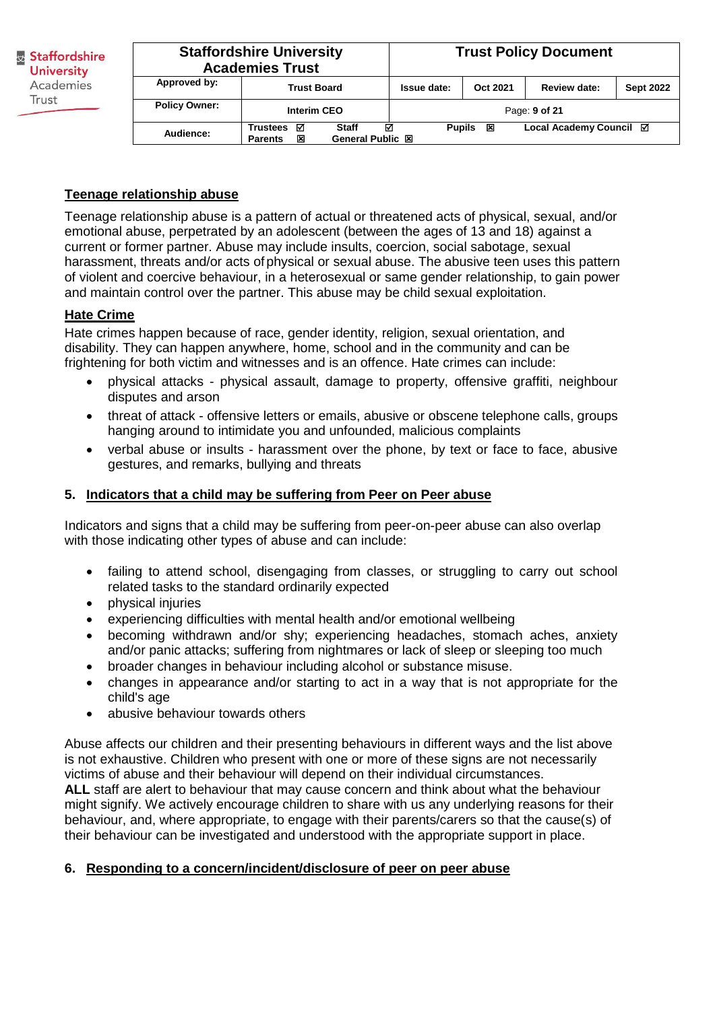| <b>Staffordshire University</b><br><b>Academies Trust</b> |                                                                                             |  |               |          | <b>Trust Policy Document</b> |                  |
|-----------------------------------------------------------|---------------------------------------------------------------------------------------------|--|---------------|----------|------------------------------|------------------|
| Approved by:                                              | <b>Trust Board</b>                                                                          |  | Issue date:   | Oct 2021 | Review date:                 | <b>Sept 2022</b> |
| <b>Policy Owner:</b>                                      | <b>Interim CEO</b>                                                                          |  |               |          | Page: 9 of 21                |                  |
| Audience:                                                 | ☑<br>☑<br><b>Staff</b><br><b>Trustees</b><br>図<br><b>General Public 図</b><br><b>Parents</b> |  | <b>Pupils</b> | 区        | Local Academy Council ⊠      |                  |

#### **Teenage relationship abuse**

Teenage relationship abuse is a pattern of actual or threatened acts of physical, sexual, and/or emotional abuse, perpetrated by an adolescent (between the ages of 13 and 18) against a current or former partner. Abuse may include insults, coercion, social sabotage, sexual harassment, threats and/or acts of physical or sexual abuse. The abusive teen uses this pattern of violent and coercive behaviour, in a heterosexual or same gender relationship, to gain power and maintain control over the partner. This abuse may be child sexual exploitation.

#### **Hate Crime**

Hate crimes happen because of race, gender identity, religion, sexual orientation, and disability. They can happen anywhere, home, school and in the community and can be frightening for both victim and witnesses and is an offence. Hate crimes can include:

- physical attacks physical assault, damage to property, offensive graffiti, neighbour disputes and arson
- threat of attack offensive letters or emails, abusive or obscene telephone calls, groups hanging around to intimidate you and unfounded, malicious complaints
- verbal abuse or insults harassment over the phone, by text or face to face, abusive gestures, and remarks, bullying and threats

#### **5. Indicators that a child may be suffering from Peer on Peer abuse**

Indicators and signs that a child may be suffering from peer-on-peer abuse can also overlap with those indicating other types of abuse and can include:

- failing to attend school, disengaging from classes, or struggling to carry out school related tasks to the standard ordinarily expected
- physical injuries
- experiencing difficulties with mental health and/or emotional wellbeing
- becoming withdrawn and/or shy; experiencing headaches, stomach aches, anxiety and/or panic attacks; suffering from nightmares or lack of sleep or sleeping too much
- broader changes in behaviour including alcohol or substance misuse.
- changes in appearance and/or starting to act in a way that is not appropriate for the child's age
- abusive behaviour towards others

Abuse affects our children and their presenting behaviours in different ways and the list above is not exhaustive. Children who present with one or more of these signs are not necessarily victims of abuse and their behaviour will depend on their individual circumstances. **ALL** staff are alert to behaviour that may cause concern and think about what the behaviour might signify. We actively encourage children to share with us any underlying reasons for their behaviour, and, where appropriate, to engage with their parents/carers so that the cause(s) of their behaviour can be investigated and understood with the appropriate support in place.

#### **6. Responding to a concern/incident/disclosure of peer on peer abuse**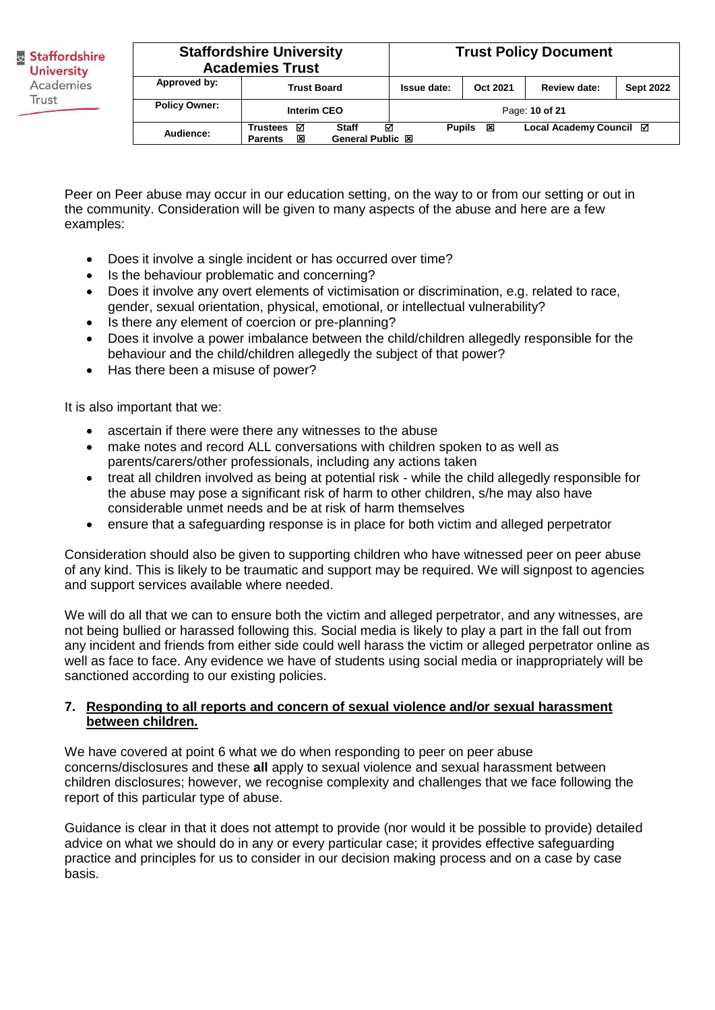| <b>Staffordshire University</b><br><b>Academies Trust</b> |                                         |             | <b>Trust Policy Document</b> |                     |                  |
|-----------------------------------------------------------|-----------------------------------------|-------------|------------------------------|---------------------|------------------|
| Approved by:                                              | <b>Trust Board</b>                      | Issue date: | Oct 2021                     | <b>Review date:</b> | <b>Sept 2022</b> |
| <b>Policy Owner:</b>                                      | <b>Interim CEO</b>                      |             |                              | Page: 10 of 21      |                  |
| Audience:                                                 | ☑<br><b>Pupils</b><br>General Public XI | 区           | Local Academy Council ⊠      |                     |                  |

Peer on Peer abuse may occur in our education setting, on the way to or from our setting or out in the community. Consideration will be given to many aspects of the abuse and here are a few examples:

- Does it involve a single incident or has occurred over time?
- Is the behaviour problematic and concerning?
- Does it involve any overt elements of victimisation or discrimination, e.g. related to race, gender, sexual orientation, physical, emotional, or intellectual vulnerability?
- Is there any element of coercion or pre-planning?
- Does it involve a power imbalance between the child/children allegedly responsible for the behaviour and the child/children allegedly the subject of that power?
- Has there been a misuse of power?

It is also important that we:

- ascertain if there were there any witnesses to the abuse
- make notes and record ALL conversations with children spoken to as well as parents/carers/other professionals, including any actions taken
- treat all children involved as being at potential risk while the child allegedly responsible for the abuse may pose a significant risk of harm to other children, s/he may also have considerable unmet needs and be at risk of harm themselves
- ensure that a safeguarding response is in place for both victim and alleged perpetrator

Consideration should also be given to supporting children who have witnessed peer on peer abuse of any kind. This is likely to be traumatic and support may be required. We will signpost to agencies and support services available where needed.

We will do all that we can to ensure both the victim and alleged perpetrator, and any witnesses, are not being bullied or harassed following this. Social media is likely to play a part in the fall out from any incident and friends from either side could well harass the victim or alleged perpetrator online as well as face to face. Any evidence we have of students using social media or inappropriately will be sanctioned according to our existing policies.

#### **7. Responding to all reports and concern of sexual violence and/or sexual harassment between children.**

We have covered at point 6 what we do when responding to peer on peer abuse concerns/disclosures and these **all** apply to sexual violence and sexual harassment between children disclosures; however, we recognise complexity and challenges that we face following the report of this particular type of abuse.

Guidance is clear in that it does not attempt to provide (nor would it be possible to provide) detailed advice on what we should do in any or every particular case; it provides effective safeguarding practice and principles for us to consider in our decision making process and on a case by case basis.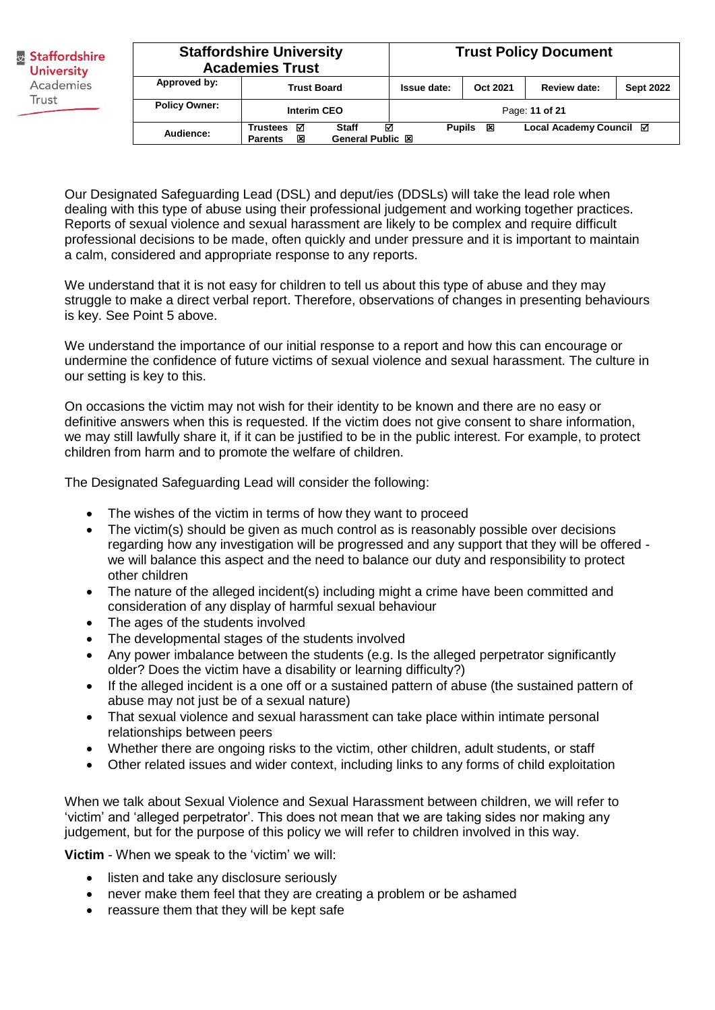| <b>Staffordshire University</b><br><b>Academies Trust</b> |                                                                               |  |               |          | <b>Trust Policy Document</b> |                  |
|-----------------------------------------------------------|-------------------------------------------------------------------------------|--|---------------|----------|------------------------------|------------------|
| Approved by:                                              | <b>Trust Board</b>                                                            |  | Issue date:   | Oct 2021 | Review date:                 | <b>Sept 2022</b> |
| <b>Policy Owner:</b>                                      | <b>Interim CEO</b>                                                            |  |               |          | Page: 11 of 21               |                  |
| Audience:                                                 | ☑<br>⊠<br><b>Staff</b><br>Trustees<br>General Public 図<br>図<br><b>Parents</b> |  | <b>Pupils</b> | 区        | Local Academy Council ⊠      |                  |

Our Designated Safeguarding Lead (DSL) and deput/ies (DDSLs) will take the lead role when dealing with this type of abuse using their professional judgement and working together practices. Reports of sexual violence and sexual harassment are likely to be complex and require difficult professional decisions to be made, often quickly and under pressure and it is important to maintain a calm, considered and appropriate response to any reports.

We understand that it is not easy for children to tell us about this type of abuse and they may struggle to make a direct verbal report. Therefore, observations of changes in presenting behaviours is key. See Point 5 above.

We understand the importance of our initial response to a report and how this can encourage or undermine the confidence of future victims of sexual violence and sexual harassment. The culture in our setting is key to this.

On occasions the victim may not wish for their identity to be known and there are no easy or definitive answers when this is requested. If the victim does not give consent to share information, we may still lawfully share it, if it can be justified to be in the public interest. For example, to protect children from harm and to promote the welfare of children.

The Designated Safeguarding Lead will consider the following:

- The wishes of the victim in terms of how they want to proceed
- The victim(s) should be given as much control as is reasonably possible over decisions regarding how any investigation will be progressed and any support that they will be offered we will balance this aspect and the need to balance our duty and responsibility to protect other children
- The nature of the alleged incident(s) including might a crime have been committed and consideration of any display of harmful sexual behaviour
- The ages of the students involved
- The developmental stages of the students involved
- Any power imbalance between the students (e.g. Is the alleged perpetrator significantly older? Does the victim have a disability or learning difficulty?)
- If the alleged incident is a one off or a sustained pattern of abuse (the sustained pattern of abuse may not just be of a sexual nature)
- That sexual violence and sexual harassment can take place within intimate personal relationships between peers
- Whether there are ongoing risks to the victim, other children, adult students, or staff
- Other related issues and wider context, including links to any forms of child exploitation

When we talk about Sexual Violence and Sexual Harassment between children, we will refer to 'victim' and 'alleged perpetrator'. This does not mean that we are taking sides nor making any judgement, but for the purpose of this policy we will refer to children involved in this way.

**Victim** - When we speak to the 'victim' we will:

- listen and take any disclosure seriously
- never make them feel that they are creating a problem or be ashamed
- reassure them that they will be kept safe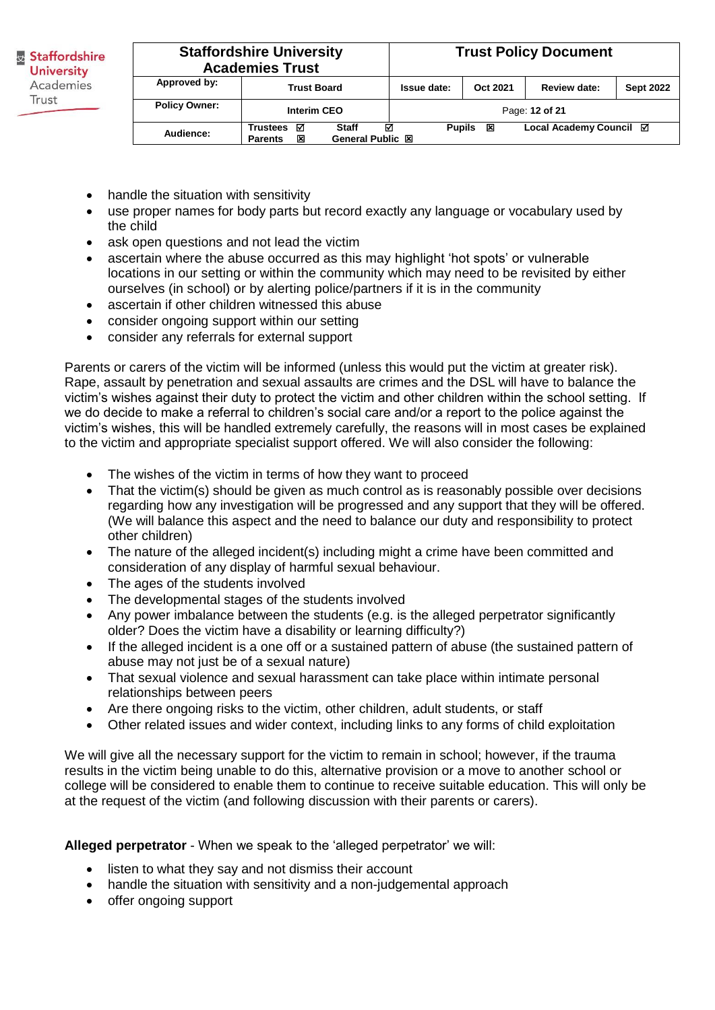| <b>Staffordshire University</b><br><b>Academies Trust</b>                                                |                    |                |               |          | <b>Trust Policy Document</b> |                  |
|----------------------------------------------------------------------------------------------------------|--------------------|----------------|---------------|----------|------------------------------|------------------|
| Approved by:                                                                                             | <b>Trust Board</b> |                | Issue date:   | Oct 2021 | Review date:                 | <b>Sept 2022</b> |
| <b>Policy Owner:</b>                                                                                     | Interim CEO        | Page: 12 of 21 |               |          |                              |                  |
| ⊠<br>⊠<br><b>Staff</b><br><b>Trustees</b><br>Audience:<br><b>General Public 図</b><br>区<br><b>Parents</b> |                    |                | <b>Pupils</b> | 区        | Local Academy Council ⊠      |                  |

- handle the situation with sensitivity
- use proper names for body parts but record exactly any language or vocabulary used by the child
- ask open questions and not lead the victim
- ascertain where the abuse occurred as this may highlight 'hot spots' or vulnerable locations in our setting or within the community which may need to be revisited by either ourselves (in school) or by alerting police/partners if it is in the community
- ascertain if other children witnessed this abuse
- consider ongoing support within our setting
- consider any referrals for external support

Parents or carers of the victim will be informed (unless this would put the victim at greater risk). Rape, assault by penetration and sexual assaults are crimes and the DSL will have to balance the victim's wishes against their duty to protect the victim and other children within the school setting. If we do decide to make a referral to children's social care and/or a report to the police against the victim's wishes, this will be handled extremely carefully, the reasons will in most cases be explained to the victim and appropriate specialist support offered. We will also consider the following:

- The wishes of the victim in terms of how they want to proceed
- That the victim(s) should be given as much control as is reasonably possible over decisions regarding how any investigation will be progressed and any support that they will be offered. (We will balance this aspect and the need to balance our duty and responsibility to protect other children)
- The nature of the alleged incident(s) including might a crime have been committed and consideration of any display of harmful sexual behaviour.
- The ages of the students involved
- The developmental stages of the students involved
- Any power imbalance between the students (e.g. is the alleged perpetrator significantly older? Does the victim have a disability or learning difficulty?)
- If the alleged incident is a one off or a sustained pattern of abuse (the sustained pattern of abuse may not just be of a sexual nature)
- That sexual violence and sexual harassment can take place within intimate personal relationships between peers
- Are there ongoing risks to the victim, other children, adult students, or staff
- Other related issues and wider context, including links to any forms of child exploitation

We will give all the necessary support for the victim to remain in school; however, if the trauma results in the victim being unable to do this, alternative provision or a move to another school or college will be considered to enable them to continue to receive suitable education. This will only be at the request of the victim (and following discussion with their parents or carers).

**Alleged perpetrator** - When we speak to the 'alleged perpetrator' we will:

- listen to what they say and not dismiss their account
- handle the situation with sensitivity and a non-judgemental approach
- offer ongoing support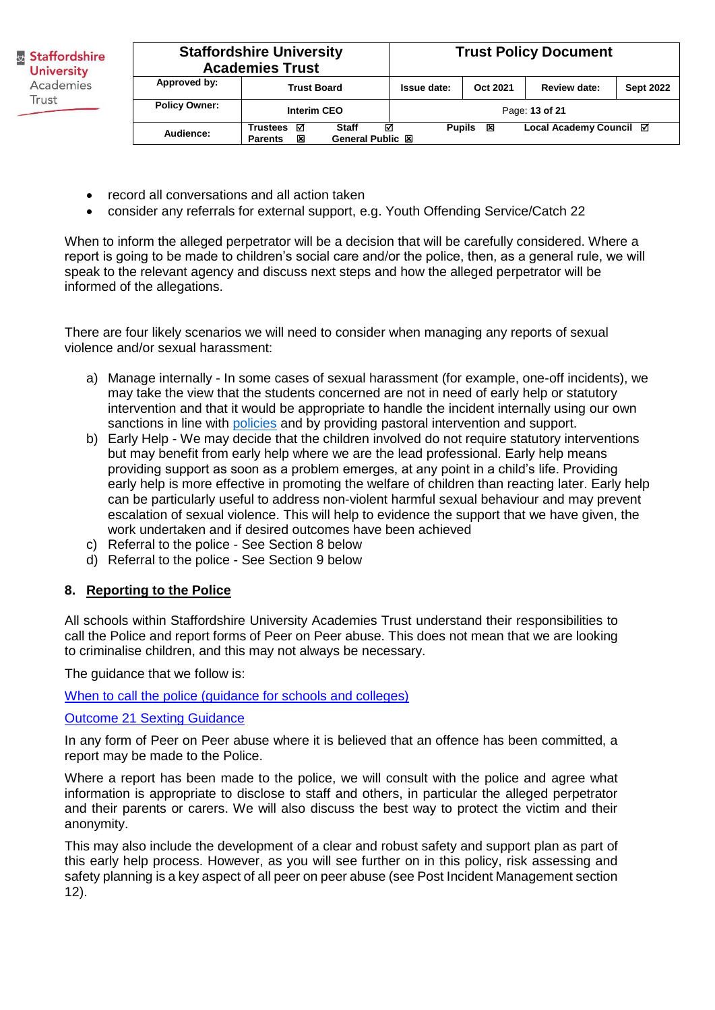**Staffordshire University Staffordshire Academies Trust University** Academies Trust **Policy Owner:**

|                      | <b>Staffordshire University</b><br><b>Academies Trust</b> |                                       |               |          | <b>Trust Policy Document</b> |                  |
|----------------------|-----------------------------------------------------------|---------------------------------------|---------------|----------|------------------------------|------------------|
| Approved by:         | <b>Trust Board</b>                                        |                                       | Issue date:   | Oct 2021 | Review date:                 | <b>Sept 2022</b> |
| <b>Policy Owner:</b> | <b>Interim CEO</b>                                        |                                       |               |          | Page: 13 of 21               |                  |
| Audience:            | ☑<br><b>Trustees</b><br>区<br><b>Parents</b>               | ☑<br><b>Staff</b><br>General Public 図 | <b>Pupils</b> | 区        | Local Academy Council ⊠      |                  |

- record all conversations and all action taken
- consider any referrals for external support, e.g. Youth Offending Service/Catch 22

When to inform the alleged perpetrator will be a decision that will be carefully considered. Where a report is going to be made to children's social care and/or the police, then, as a general rule, we will speak to the relevant agency and discuss next steps and how the alleged perpetrator will be informed of the allegations.

There are four likely scenarios we will need to consider when managing any reports of sexual violence and/or sexual harassment:

- a) Manage internally In some cases of sexual harassment (for example, one-off incidents), we may take the view that the students concerned are not in need of early help or statutory intervention and that it would be appropriate to handle the incident internally using our own sanctions in line with [policies](https://www.suacademy.co.uk/policy/sua-behaviour-policy/) and by providing pastoral intervention and support.
- b) Early Help We may decide that the children involved do not require statutory interventions but may benefit from early help where we are the lead professional. Early help means providing support as soon as a problem emerges, at any point in a child's life. Providing early help is more effective in promoting the welfare of children than reacting later. Early help can be particularly useful to address non-violent harmful sexual behaviour and may prevent escalation of sexual violence. This will help to evidence the support that we have given, the work undertaken and if desired outcomes have been achieved
- c) Referral to the police See Section 8 below
- d) Referral to the police See Section 9 below

#### **8. Reporting to the Police**

All schools within Staffordshire University Academies Trust understand their responsibilities to call the Police and report forms of Peer on Peer abuse. This does not mean that we are looking to criminalise children, and this may not always be necessary.

The guidance that we follow is:

[When to call the police \(guidance for schools and colleges\)](https://www.npcc.police.uk/documents/Children%20and%20Young%20people/When%20to%20call%20police%20guidance%20for%20schools%20and%20colleges.pdf)

#### [Outcome 21 Sexting Guidance](https://assets.publishing.service.gov.uk/government/uploads/system/uploads/attachment_data/file/578979/GD8_-_Sexting_Guidance.pdf)

In any form of Peer on Peer abuse where it is believed that an offence has been committed, a report may be made to the Police.

Where a report has been made to the police, we will consult with the police and agree what information is appropriate to disclose to staff and others, in particular the alleged perpetrator and their parents or carers. We will also discuss the best way to protect the victim and their anonymity.

This may also include the development of a clear and robust safety and support plan as part of this early help process. However, as you will see further on in this policy, risk assessing and safety planning is a key aspect of all peer on peer abuse (see Post Incident Management section 12).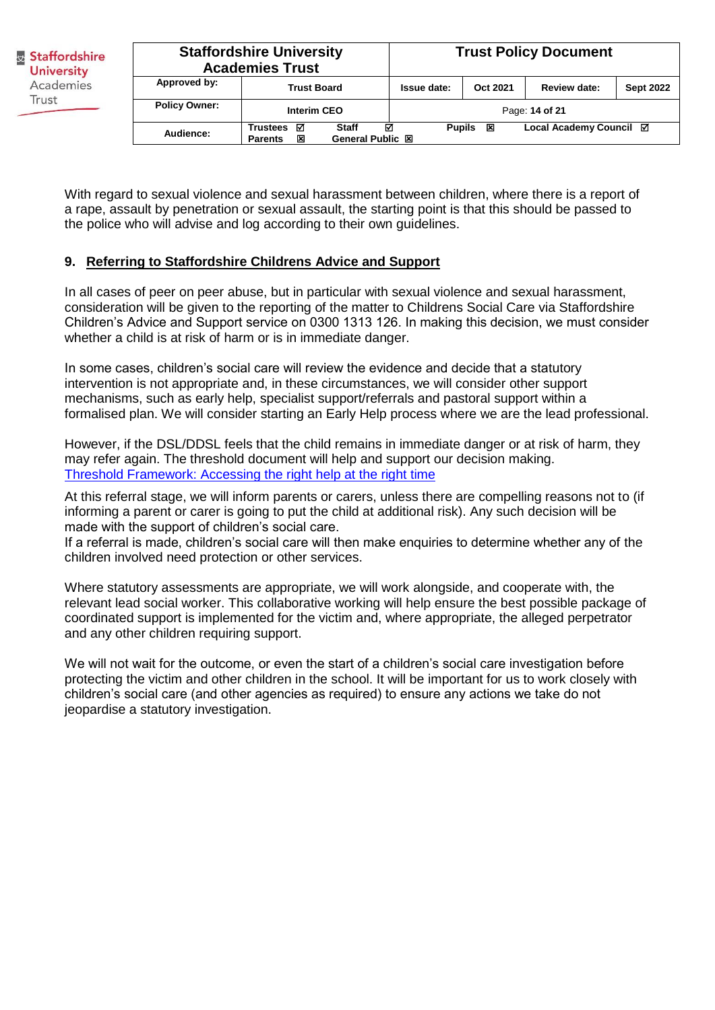| <b>Staffordshire University</b><br><b>Academies Trust</b> |                                                                                |  |               |          | <b>Trust Policy Document</b> |                  |
|-----------------------------------------------------------|--------------------------------------------------------------------------------|--|---------------|----------|------------------------------|------------------|
| Approved by:                                              | <b>Trust Board</b>                                                             |  | Issue date:   | Oct 2021 | <b>Review date:</b>          | <b>Sept 2022</b> |
| <b>Policy Owner:</b>                                      | <b>Interim CEO</b>                                                             |  |               |          | Page: 14 of 21               |                  |
| Audience:                                                 | ☑<br>☑<br><b>Staff</b><br>Trustees<br>General Public XI<br>又<br><b>Parents</b> |  | <b>Pupils</b> | 区        | Local Academy Council ⊠      |                  |

With regard to sexual violence and sexual harassment between children, where there is a report of a rape, assault by penetration or sexual assault, the starting point is that this should be passed to the police who will advise and log according to their own guidelines.

#### **9. Referring to Staffordshire Childrens Advice and Support**

In all cases of peer on peer abuse, but in particular with sexual violence and sexual harassment, consideration will be given to the reporting of the matter to Childrens Social Care via Staffordshire Children's Advice and Support service on 0300 1313 126. In making this decision, we must consider whether a child is at risk of harm or is in immediate danger.

In some cases, children's social care will review the evidence and decide that a statutory intervention is not appropriate and, in these circumstances, we will consider other support mechanisms, such as early help, specialist support/referrals and pastoral support within a formalised plan. We will consider starting an Early Help process where we are the lead professional.

However, if the DSL/DDSL feels that the child remains in immediate danger or at risk of harm, they may refer again. The threshold document will help and support our decision making. [Threshold Framework: Accessing the right help at the right time](https://www.staffsscb.org.uk/wp-content/uploads/2020/09/Threshold-Document.pdf)

At this referral stage, we will inform parents or carers, unless there are compelling reasons not to (if informing a parent or carer is going to put the child at additional risk). Any such decision will be made with the support of children's social care.

If a referral is made, children's social care will then make enquiries to determine whether any of the children involved need protection or other services.

Where statutory assessments are appropriate, we will work alongside, and cooperate with, the relevant lead social worker. This collaborative working will help ensure the best possible package of coordinated support is implemented for the victim and, where appropriate, the alleged perpetrator and any other children requiring support.

We will not wait for the outcome, or even the start of a children's social care investigation before protecting the victim and other children in the school. It will be important for us to work closely with children's social care (and other agencies as required) to ensure any actions we take do not jeopardise a statutory investigation.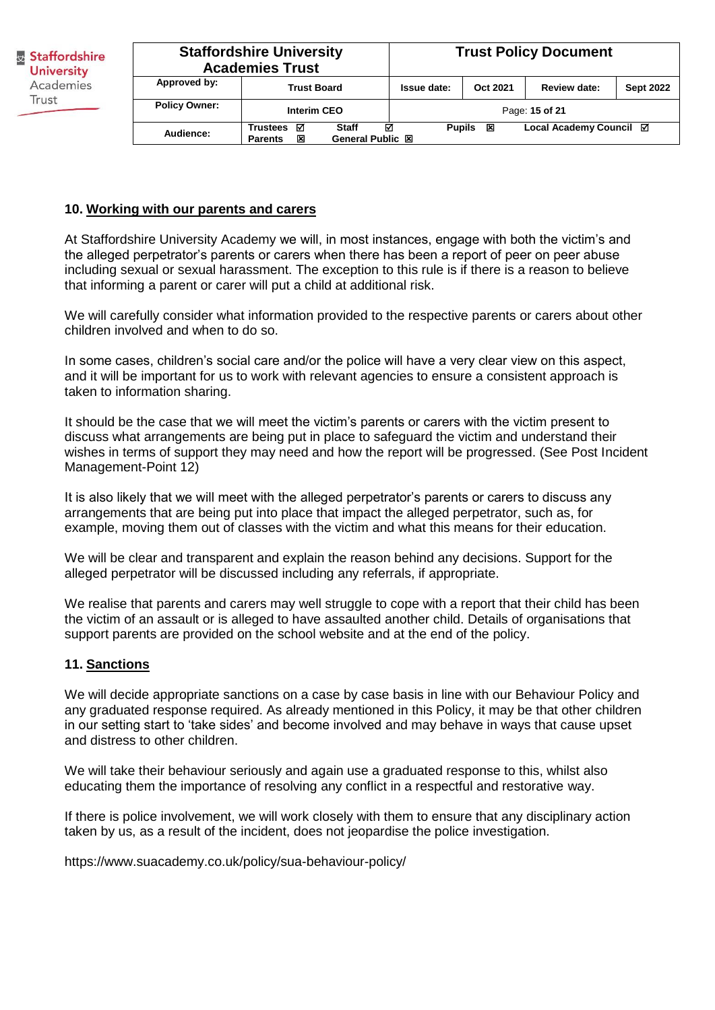| <b>Staffordshire University</b><br><b>Academies Trust</b> |                                                                                             |  |               |          | <b>Trust Policy Document</b> |                  |
|-----------------------------------------------------------|---------------------------------------------------------------------------------------------|--|---------------|----------|------------------------------|------------------|
| Approved by:                                              | <b>Trust Board</b>                                                                          |  | Issue date:   | Oct 2021 | Review date:                 | <b>Sept 2022</b> |
| <b>Policy Owner:</b>                                      | Interim CEO                                                                                 |  |               |          | Page: 15 of 21               |                  |
| Audience:                                                 | ☑<br>☑<br><b>Staff</b><br><b>Trustees</b><br><b>General Public 図</b><br>図<br><b>Parents</b> |  | <b>Pupils</b> | 区        | Local Academy Council Ø      |                  |

#### **10. Working with our parents and carers**

At Staffordshire University Academy we will, in most instances, engage with both the victim's and the alleged perpetrator's parents or carers when there has been a report of peer on peer abuse including sexual or sexual harassment. The exception to this rule is if there is a reason to believe that informing a parent or carer will put a child at additional risk.

We will carefully consider what information provided to the respective parents or carers about other children involved and when to do so.

In some cases, children's social care and/or the police will have a very clear view on this aspect, and it will be important for us to work with relevant agencies to ensure a consistent approach is taken to information sharing.

It should be the case that we will meet the victim's parents or carers with the victim present to discuss what arrangements are being put in place to safeguard the victim and understand their wishes in terms of support they may need and how the report will be progressed. (See Post Incident Management-Point 12)

It is also likely that we will meet with the alleged perpetrator's parents or carers to discuss any arrangements that are being put into place that impact the alleged perpetrator, such as, for example, moving them out of classes with the victim and what this means for their education.

We will be clear and transparent and explain the reason behind any decisions. Support for the alleged perpetrator will be discussed including any referrals, if appropriate.

We realise that parents and carers may well struggle to cope with a report that their child has been the victim of an assault or is alleged to have assaulted another child. Details of organisations that support parents are provided on the school website and at the end of the policy.

#### **11. Sanctions**

We will decide appropriate sanctions on a case by case basis in line with our Behaviour Policy and any graduated response required. As already mentioned in this Policy, it may be that other children in our setting start to 'take sides' and become involved and may behave in ways that cause upset and distress to other children.

We will take their behaviour seriously and again use a graduated response to this, whilst also educating them the importance of resolving any conflict in a respectful and restorative way.

If there is police involvement, we will work closely with them to ensure that any disciplinary action taken by us, as a result of the incident, does not jeopardise the police investigation.

https://www.suacademy.co.uk/policy/sua-behaviour-policy/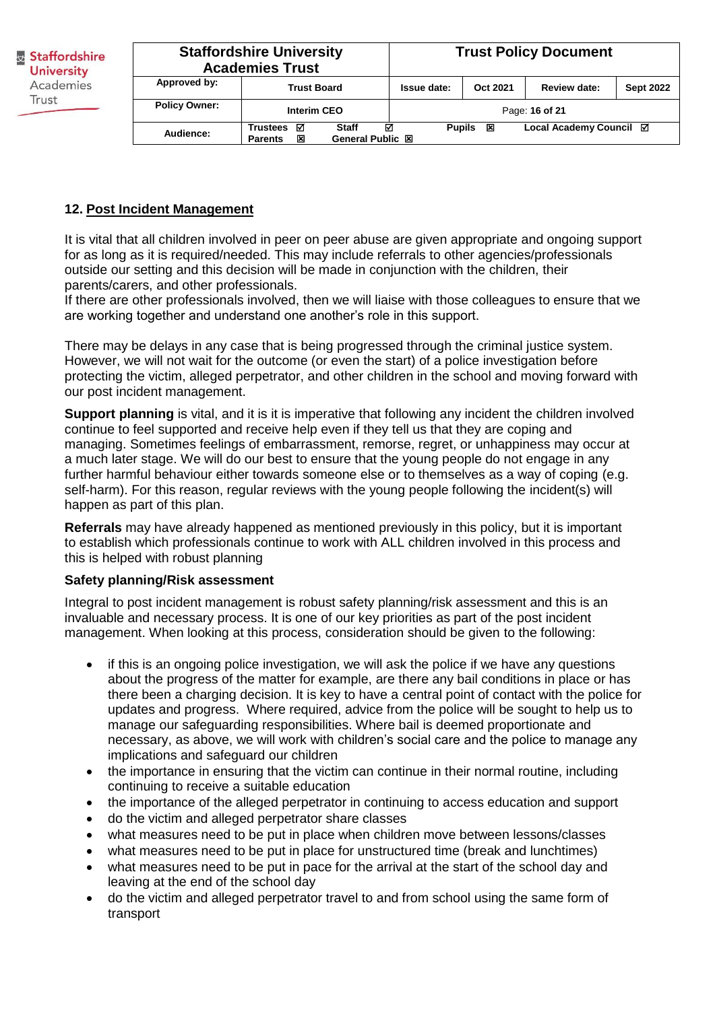| <b>Staffordshire University</b><br><b>Academies Trust</b> |                                                                                             |  |               |          | <b>Trust Policy Document</b> |                  |
|-----------------------------------------------------------|---------------------------------------------------------------------------------------------|--|---------------|----------|------------------------------|------------------|
| Approved by:                                              | <b>Trust Board</b>                                                                          |  | Issue date:   | Oct 2021 | Review date:                 | <b>Sept 2022</b> |
| <b>Policy Owner:</b>                                      | Interim CEO                                                                                 |  |               |          | Page: 16 of 21               |                  |
| Audience:                                                 | ल<br>☑<br><b>Staff</b><br><b>Trustees</b><br>又<br><b>General Public 図</b><br><b>Parents</b> |  | <b>Pupils</b> | 区        | Local Academy Council ⊠      |                  |

# **12. Post Incident Management**

It is vital that all children involved in peer on peer abuse are given appropriate and ongoing support for as long as it is required/needed. This may include referrals to other agencies/professionals outside our setting and this decision will be made in conjunction with the children, their parents/carers, and other professionals.

If there are other professionals involved, then we will liaise with those colleagues to ensure that we are working together and understand one another's role in this support.

There may be delays in any case that is being progressed through the criminal justice system. However, we will not wait for the outcome (or even the start) of a police investigation before protecting the victim, alleged perpetrator, and other children in the school and moving forward with our post incident management.

**Support planning** is vital, and it is it is imperative that following any incident the children involved continue to feel supported and receive help even if they tell us that they are coping and managing. Sometimes feelings of embarrassment, remorse, regret, or unhappiness may occur at a much later stage. We will do our best to ensure that the young people do not engage in any further harmful behaviour either towards someone else or to themselves as a way of coping (e.g. self-harm). For this reason, regular reviews with the young people following the incident(s) will happen as part of this plan.

**Referrals** may have already happened as mentioned previously in this policy, but it is important to establish which professionals continue to work with ALL children involved in this process and this is helped with robust planning

#### **Safety planning/Risk assessment**

Integral to post incident management is robust safety planning/risk assessment and this is an invaluable and necessary process. It is one of our key priorities as part of the post incident management. When looking at this process, consideration should be given to the following:

- if this is an ongoing police investigation, we will ask the police if we have any questions about the progress of the matter for example, are there any bail conditions in place or has there been a charging decision. It is key to have a central point of contact with the police for updates and progress. Where required, advice from the police will be sought to help us to manage our safeguarding responsibilities. Where bail is deemed proportionate and necessary, as above, we will work with children's social care and the police to manage any implications and safeguard our children
- the importance in ensuring that the victim can continue in their normal routine, including continuing to receive a suitable education
- the importance of the alleged perpetrator in continuing to access education and support
- do the victim and alleged perpetrator share classes
- what measures need to be put in place when children move between lessons/classes
- what measures need to be put in place for unstructured time (break and lunchtimes)
- what measures need to be put in pace for the arrival at the start of the school day and leaving at the end of the school day
- do the victim and alleged perpetrator travel to and from school using the same form of transport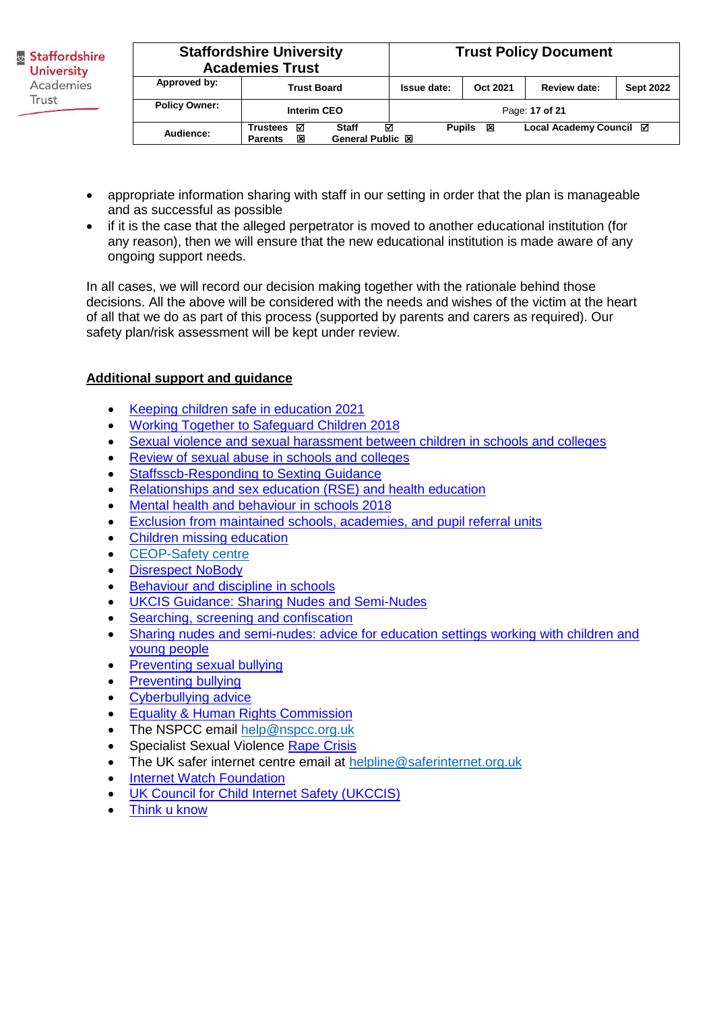| <b>Staffordshire University</b><br><b>Academies Trust</b> |                                             |                                              |               |          | <b>Trust Policy Document</b> |                  |
|-----------------------------------------------------------|---------------------------------------------|----------------------------------------------|---------------|----------|------------------------------|------------------|
| Approved by:                                              | <b>Trust Board</b>                          |                                              | Issue date:   | Oct 2021 | <b>Review date:</b>          | <b>Sept 2022</b> |
| <b>Policy Owner:</b>                                      | Interim CEO                                 |                                              |               |          | Page: 17 of 21               |                  |
| Audience:                                                 | ☑<br><b>Trustees</b><br>区<br><b>Parents</b> | ⊠<br><b>Staff</b><br><b>General Public 図</b> | <b>Pupils</b> | 区        | Local Academy Council ⊠      |                  |

- appropriate information sharing with staff in our setting in order that the plan is manageable and as successful as possible
- if it is the case that the alleged perpetrator is moved to another educational institution (for any reason), then we will ensure that the new educational institution is made aware of any ongoing support needs.

In all cases, we will record our decision making together with the rationale behind those decisions. All the above will be considered with the needs and wishes of the victim at the heart of all that we do as part of this process (supported by parents and carers as required). Our safety plan/risk assessment will be kept under review.

# **Additional support and guidance**

- [Keeping children safe in education 2021](https://assets.publishing.service.gov.uk/government/uploads/system/uploads/attachment_data/file/1007260/Keeping_children_safe_in_education_2021.pdf)
- [Working Together to Safeguard Children 2018](https://assets.publishing.service.gov.uk/government/uploads/system/uploads/attachment_data/file/942454/Working_together_to_safeguard_children_inter_agency_guidance.pdf)
- [Sexual violence and sexual harassment between children in schools and colleges](https://assets.publishing.service.gov.uk/government/uploads/system/uploads/attachment_data/file/999239/SVSH_2021.pdf)
- [Review of sexual abuse in schools and colleges](https://www.gov.uk/government/publications/review-of-sexual-abuse-in-schools-and-colleges/review-of-sexual-abuse-in-schools-and-colleges)
- [Staffsscb-Responding to Sexting Guidance](https://www.staffsscb.org.uk/wp-content/uploads/2020/12/Responding-to-Sexting-Guidance.pdf)
- [Relationships and sex education \(RSE\) and health education](https://www.gov.uk/government/publications/relationships-education-relationships-and-sex-education-rse-and-health-education)
- [Mental health and behaviour in schools 2018](https://assets.publishing.service.gov.uk/government/uploads/system/uploads/attachment_data/file/755135/Mental_health_and_behaviour_in_schools__.pdf)
- [Exclusion from maintained schools, academies, and pupil referral units](https://assets.publishing.service.gov.uk/government/uploads/system/uploads/attachment_data/file/921405/20170831_Exclusion_Stat_guidance_Web_version.pdf)
- [Children missing education](https://www.gov.uk/government/publications/children-missing-education)
- [CEOP-Safety centre](https://www.ceop.police.uk/Safety-Centre/)
- [Disrespect NoBody](https://www.disrespectnobody.co.uk/)
- [Behaviour and discipline in schools](https://www.gov.uk/government/publications/behaviour-and-discipline-in-schools)
- [UKCIS Guidance: Sharing Nudes and Semi-Nudes](https://oursaferschools.co.uk/2021/01/13/ukcis/)
- [Searching, screening and confiscation](https://assets.publishing.service.gov.uk/government/uploads/system/uploads/attachment_data/file/674416/Searching_screening_and_confiscation.pdf)
- Sharing nudes and semi-nudes: advice for education settings working with children and [young people](https://www.gov.uk/government/publications/sharing-nudes-and-semi-nudes-advice-for-education-settings-working-with-children-and-young-people/sharing-nudes-and-semi-nudes-advice-for-education-settings-working-with-children-and-young-people)
- Preventing sexual bullying
- [Preventing bullying](https://www.gov.uk/government/publications/preventing-and-tackling-bullying)
- [Cyberbullying advice](https://assets.publishing.service.gov.uk/government/uploads/system/uploads/attachment_data/file/374850/Cyberbullying_Advice_for_Headteachers_and_School_Staff_121114.pdf)
- [Equality & Human Rights Commission](https://www.equalityhumanrights.com/sites/default/files/what_equality_law_means_for_you_as_an_education_provider_schools.pdf)
- The NSPCC email [help@nspcc.org.uk](mailto:help@nspcc.org.uk)
- Specialist Sexual Violence Rape Crisis
- The UK safer internet centre email at [helpline@saferinternet.org.uk](mailto:helpline@saferinternet.org.uk)
- [Internet Watch Foundation](https://www.iwf.org.uk/)
- **UK Council for Child Internet Safety (UKCCIS)**
- [Think u know](https://www.thinkuknow.co.uk/)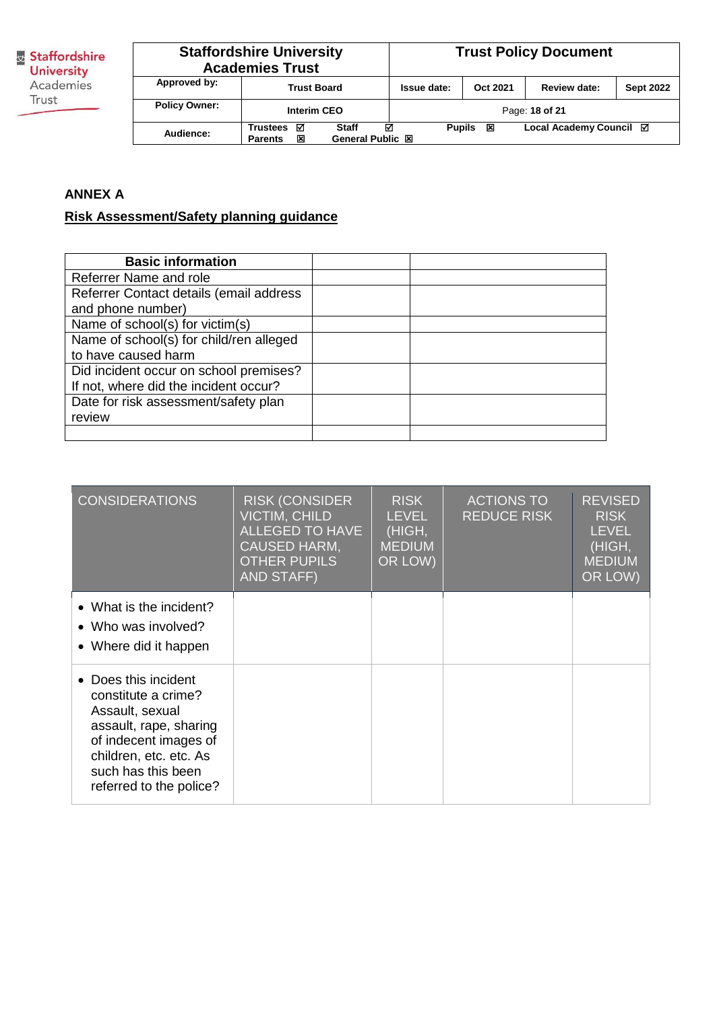| <b>Staffordshire University</b><br><b>Academies Trust</b> |                                                                                      |  |             |                    | <b>Trust Policy Document</b> |                  |
|-----------------------------------------------------------|--------------------------------------------------------------------------------------|--|-------------|--------------------|------------------------------|------------------|
| Approved by:                                              | <b>Trust Board</b>                                                                   |  | Issue date: | Oct 2021           | Review date:                 | <b>Sept 2022</b> |
| <b>Policy Owner:</b>                                      | <b>Interim CEO</b>                                                                   |  |             |                    | Page: 18 of 21               |                  |
| Audience:                                                 | ☑<br>⊽<br><b>Staff</b><br>Trustees<br><b>General Public 図</b><br>図<br><b>Parents</b> |  |             | 区<br><b>Pupils</b> | Local Academy Council ⊠      |                  |

# **ANNEX A**

# **Risk Assessment/Safety planning guidance**

| <b>Basic information</b>                |  |
|-----------------------------------------|--|
| Referrer Name and role                  |  |
| Referrer Contact details (email address |  |
| and phone number)                       |  |
| Name of school(s) for victim(s)         |  |
| Name of school(s) for child/ren alleged |  |
| to have caused harm                     |  |
| Did incident occur on school premises?  |  |
| If not, where did the incident occur?   |  |
| Date for risk assessment/safety plan    |  |
| review                                  |  |
|                                         |  |

| <b>CONSIDERATIONS</b>                                                                                                                                                                        | <b>RISK (CONSIDER</b><br><b>VICTIM, CHILD</b><br>ALLEGED TO HAVE<br><b>CAUSED HARM,</b><br><b>OTHER PUPILS</b><br><b>AND STAFF)</b> | <b>RISK</b><br><b>LEVEL</b><br>(HIGH,<br><b>MEDIUM</b><br>OR LOW) | <b>ACTIONS TO</b><br><b>REDUCE RISK</b> | <b>REVISED</b><br><b>RISK</b><br><b>LEVEL</b><br>(HIGH,<br><b>MEDIUM</b><br>OR LOW) |
|----------------------------------------------------------------------------------------------------------------------------------------------------------------------------------------------|-------------------------------------------------------------------------------------------------------------------------------------|-------------------------------------------------------------------|-----------------------------------------|-------------------------------------------------------------------------------------|
| • What is the incident?<br>• Who was involved?<br>• Where did it happen                                                                                                                      |                                                                                                                                     |                                                                   |                                         |                                                                                     |
| • Does this incident<br>constitute a crime?<br>Assault, sexual<br>assault, rape, sharing<br>of indecent images of<br>children, etc. etc. As<br>such has this been<br>referred to the police? |                                                                                                                                     |                                                                   |                                         |                                                                                     |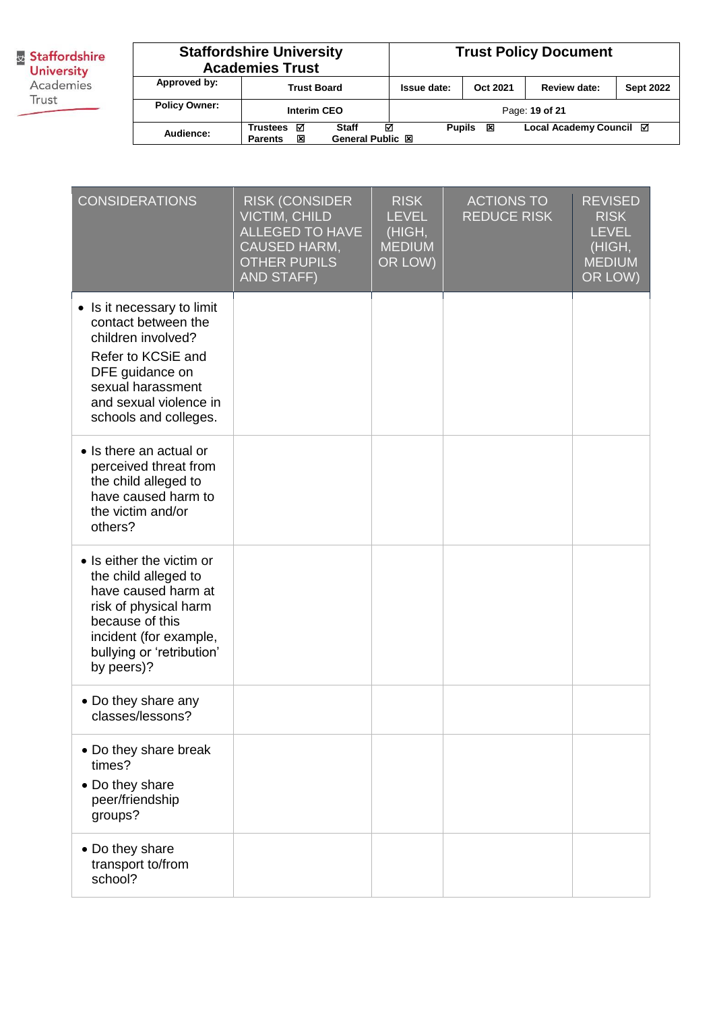**Busism Staffordshire**<br> **University**<br>
Academies Trust

| <b>Staffordshire University</b><br><b>Academies Trust</b> |                                                                                             |  |             |                    | <b>Trust Policy Document</b> |                  |
|-----------------------------------------------------------|---------------------------------------------------------------------------------------------|--|-------------|--------------------|------------------------------|------------------|
| Approved by:                                              | <b>Trust Board</b>                                                                          |  | Issue date: | Oct 2021           | <b>Review date:</b>          | <b>Sept 2022</b> |
| <b>Policy Owner:</b>                                      | <b>Interim CEO</b>                                                                          |  |             |                    | Page: 19 of 21               |                  |
| Audience:                                                 | ☑<br>☑<br><b>Staff</b><br><b>Trustees</b><br>図<br><b>General Public 図</b><br><b>Parents</b> |  |             | <b>Pupils</b><br>区 | Local Academy Council ⊠      |                  |

| <b>CONSIDERATIONS</b>                                                                                                                                                                     | <b>RISK (CONSIDER</b><br><b>VICTIM, CHILD</b><br><b>ALLEGED TO HAVE</b><br>CAUSED HARM,<br><b>OTHER PUPILS</b><br><b>AND STAFF)</b> | <b>RISK</b><br><b>LEVEL</b><br>(HIGH,<br><b>MEDIUM</b><br>OR LOW) | <b>ACTIONS TO</b><br><b>REDUCE RISK</b> | <b>REVISED</b><br><b>RISK</b><br><b>LEVEL</b><br>(HIGH,<br><b>MEDIUM</b><br>OR LOW) |
|-------------------------------------------------------------------------------------------------------------------------------------------------------------------------------------------|-------------------------------------------------------------------------------------------------------------------------------------|-------------------------------------------------------------------|-----------------------------------------|-------------------------------------------------------------------------------------|
| • Is it necessary to limit<br>contact between the<br>children involved?<br>Refer to KCSiE and<br>DFE guidance on<br>sexual harassment<br>and sexual violence in<br>schools and colleges.  |                                                                                                                                     |                                                                   |                                         |                                                                                     |
| • Is there an actual or<br>perceived threat from<br>the child alleged to<br>have caused harm to<br>the victim and/or<br>others?                                                           |                                                                                                                                     |                                                                   |                                         |                                                                                     |
| • Is either the victim or<br>the child alleged to<br>have caused harm at<br>risk of physical harm<br>because of this<br>incident (for example,<br>bullying or 'retribution'<br>by peers)? |                                                                                                                                     |                                                                   |                                         |                                                                                     |
| • Do they share any<br>classes/lessons?                                                                                                                                                   |                                                                                                                                     |                                                                   |                                         |                                                                                     |
| • Do they share break<br>times?<br>• Do they share<br>peer/friendship<br>groups?                                                                                                          |                                                                                                                                     |                                                                   |                                         |                                                                                     |
| • Do they share<br>transport to/from<br>school?                                                                                                                                           |                                                                                                                                     |                                                                   |                                         |                                                                                     |